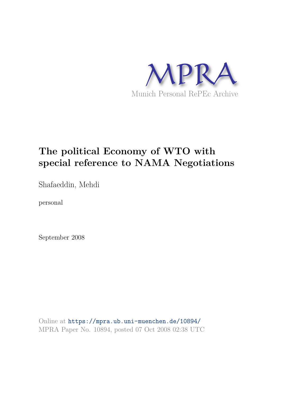

# **The political Economy of WTO with special reference to NAMA Negotiations**

Shafaeddin, Mehdi

personal

September 2008

Online at https://mpra.ub.uni-muenchen.de/10894/ MPRA Paper No. 10894, posted 07 Oct 2008 02:38 UTC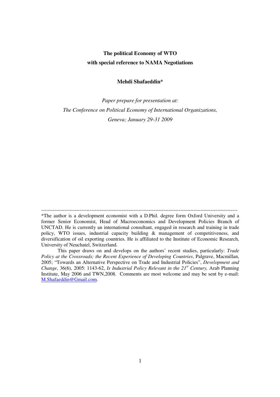## **The political Economy of WTO with special reference to NAMA Negotiations**

## **Mehdi Shafaeddin\***

*Paper prepare for presentation at: The Conference on Political Economy of International Organizations, Geneva; January 29-31 2009* 

<sup>---------------------------------------------------------------------------------------------------------------------</sup>  \*The author is a development economist with a D.Phil. degree form Oxford University and a former Senior Economist, Head of Macroeconomics and Development Policies Branch of UNCTAD. He is currently an international consultant, engaged in research and training in trade policy, WTO issues, industrial capacity building & management of competitiveness, and diversification of oil exporting countries. He is affiliated to the Institute of Economic Research, University of Neuchatel, Switzerland.

This paper draws on and develops on the authors' recent studies, particularly: *Trade Policy at the Crossroads; the Recent Experience of Developing Countries*, Palgrave, Macmillan, 2005; "Towards an Alternative Perspective on Trade and Industrial Policies", *Development and Change*, 36(6), 2005: 1143-62, *Is Industrial Policy Relevant in the 21st Century,* Arab Planning Institute, May 2006 and TWN,2008. Comments are most welcome and may be sent by e-mail: M.Shafaeddin@Gmail.com.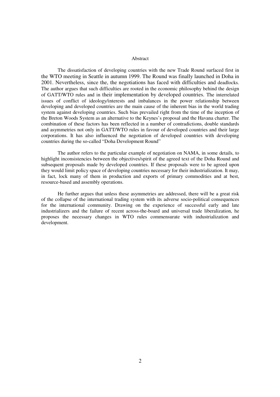#### Abstract

The dissatisfaction of developing countries with the new Trade Round surfaced first in the WTO meeting in Seattle in autumn 1999. The Round was finally launched in Doha in 2001. Nevertheless, since the, the negotiations has faced with difficulties and deadlocks. The author argues that such difficulties are rooted in the economic philosophy behind the design of GATT/WTO rules and in their implementation by developed countries. The interrelated issues of conflict of ideology/interests and imbalances in the power relationship between developing and developed countries are the main cause of the inherent bias in the world trading system against developing countries. Such bias prevailed right from the time of the inception of the Breton Woods System as an alternative to the Keynes's proposal and the Havana charter. The combination of these factors has been reflected in a number of contradictions, double standards and asymmetries not only in GATT/WTO rules in favour of developed countries and their large corporations. It has also influenced the negotiation of developed countries with developing countries during the so-called "Doha Development Round"

 The author refers to the particular example of negotiation on NAMA, in some details, to highlight inconsistencies between the objectives/spirit of the agreed text of the Doha Round and subsequent proposals made by developed countries. If these proposals were to be agreed upon they would limit policy space of developing countries necessary for their industrialization. It may, in fact, lock many of them in production and exports of primary commodities and at best, resource-based and assembly operations.

 He further argues that unless these asymmetries are addressed, there will be a great risk of the collapse of the international trading system with its adverse socio-political consequences for the international community. Drawing on the experience of successful early and late industrializers and the failure of recent across-the-board and universal trade liberalization, he proposes the necessary changes in WTO rules commensurate with industrialization and development.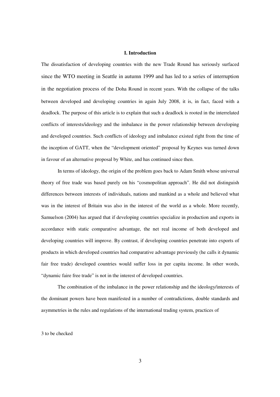## **I. Introduction**

The dissatisfaction of developing countries with the new Trade Round has seriously surfaced since the WTO meeting in Seattle in autumn 1999 and has led to a series of interruption in the negotiation process of the Doha Round in recent years. With the collapse of the talks between developed and developing countries in again July 2008, it is, in fact, faced with a deadlock. The purpose of this article is to explain that such a deadlock is rooted in the interrelated conflicts of interests/ideology and the imbalance in the power relationship between developing and developed countries. Such conflicts of ideology and imbalance existed right from the time of the inception of GATT, when the "development oriented" proposal by Keynes was turned down in favour of an alternative proposal by White, and has continued since then.

 In terms of ideology, the origin of the problem goes back to Adam Smith whose universal theory of free trade was based purely on his "cosmopolitan approach". He did not distinguish differences between interests of individuals, nations and mankind as a whole and believed what was in the interest of Britain was also in the interest of the world as a whole. More recently, Samuelson (2004) has argued that if developing countries specialize in production and exports in accordance with static comparative advantage, the net real income of both developed and developing countries will improve. By contrast, if developing countries penetrate into exports of products in which developed countries had comparative advantage previously (he calls it dynamic fair free trade) developed countries would suffer loss in per capita income. In other words, "dynamic faire free trade" is not in the interest of developed countries.

 The combination of the imbalance in the power relationship and the ideology/interests of the dominant powers have been manifested in a number of contradictions, double standards and asymmetries in the rules and regulations of the international trading system, practices of

3 to be checked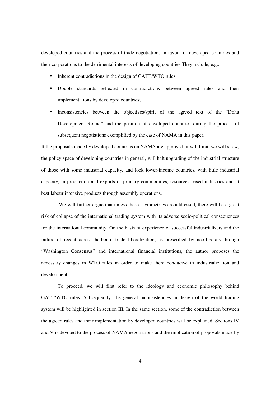developed countries and the process of trade negotiations in favour of developed countries and their corporations to the detrimental interests of developing countries They include, e.g.:

- Inherent contradictions in the design of GATT/WTO rules;
- Double standards reflected in contradictions between agreed rules and their implementations by developed countries;
- Inconsistencies between the objectives/spirit of the agreed text of the "Doha Development Round" and the position of developed countries during the process of subsequent negotiations exemplified by the case of NAMA in this paper.

If the proposals made by developed countries on NAMA are approved, it will limit, we will show, the policy space of developing countries in general, will halt upgrading of the industrial structure of those with some industrial capacity, and lock lower-income countries, with little industrial capacity, in production and exports of primary commodities, resources based industries and at best labour intensive products through assembly operations.

 We will further argue that unless these asymmetries are addressed, there will be a great risk of collapse of the international trading system with its adverse socio-political consequences for the international community. On the basis of experience of successful industrializers and the failure of recent across-the-board trade liberalization, as prescribed by neo-liberals through "Washington Consensus" and international financial institutions, the author proposes the necessary changes in WTO rules in order to make them conducive to industrialization and development.

 To proceed, we will first refer to the ideology and economic philosophy behind GATT/WTO rules. Subsequently, the general inconsistencies in design of the world trading system will be highlighted in section III. In the same section, some of the contradiction between the agreed rules and their implementation by developed countries will be explained. Sections IV and V is devoted to the process of NAMA negotiations and the implication of proposals made by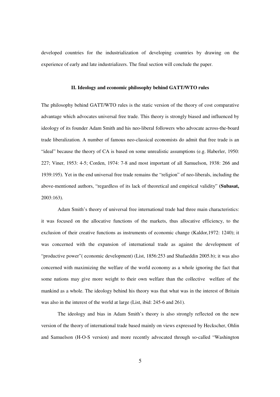developed countries for the industrialization of developing countries by drawing on the experience of early and late industrializers. The final section will conclude the paper.

#### **II. Ideology and economic philosophy behind GATT/WTO rules**

The philosophy behind GATT/WTO rules is the static version of the theory of cost comparative advantage which advocates universal free trade. This theory is strongly biased and influenced by ideology of its founder Adam Smith and his neo-liberal followers who advocate across-the-board trade liberalization. A number of famous neo-classical economists do admit that free trade is an "ideal" because the theory of CA is based on some unrealistic assumptions (e.g. Haberler, 1950: 227; Viner, 1953: 4-5; Corden, 1974: 7-8 and most important of all Samuelson, 1938: 266 and 1939:195). Yet in the end universal free trade remains the "religion" of neo-liberals, including the above-mentioned authors, "regardless of its lack of theoretical and empirical validity" **(Subasat,** 2003:163).

 Adam Smith's theory of universal free international trade had three main characteristics: it was focused on the allocative functions of the markets, thus allocative efficiency, to the exclusion of their creative functions as instruments of economic change (Kaldor,1972: 1240); it was concerned with the expansion of international trade as against the development of "productive power"( economic development) (List, 1856:253 and Shafaeddin 2005.b); it was also concerned with maximizing the welfare of the world economy as a whole ignoring the fact that some nations may give more weight to their own welfare than the collective welfare of the mankind as a whole. The ideology behind his theory was that what was in the interest of Britain was also in the interest of the world at large (List, ibid: 245-6 and 261).

The ideology and bias in Adam Smith's theory is also strongly reflected on the new version of the theory of international trade based mainly on views expressed by Heckscher, Ohlin and Samuelson (H-O-S version) and more recently advocated through so-called "Washington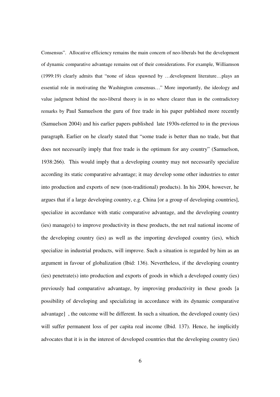Consensus". Allocative efficiency remains the main concern of neo-liberals but the development of dynamic comparative advantage remains out of their considerations. For example, Williamson (1999:19) clearly admits that "none of ideas spawned by …development literature…plays an essential role in motivating the Washington consensus…" More importantly, the ideology and value judgment behind the neo-liberal theory is in no where clearer than in the contradictory remarks by Paul Samuelson the guru of free trade in his paper published more recently (Samuelson 2004) and his earlier papers published late 1930s-referred to in the previous paragraph. Earlier on he clearly stated that "some trade is better than no trade, but that does not necessarily imply that free trade is the optimum for any country" (Samuelson, 1938:266). This would imply that a developing country may not necessarily specialize according its static comparative advantage; it may develop some other industries to enter into production and exports of new (non-traditional) products). In his 2004, however, he argues that if a large developing country, e.g. China [or a group of developing countries], specialize in accordance with static comparative advantage, and the developing country (ies) manage(s) to improve productivity in these products, the net real national income of the developing country (ies) as well as the importing developed country (ies), which specialize in industrial products, will improve. Such a situation is regarded by him as an argument in favour of globalization (Ibid: 136). Nevertheless, if the developing country (ies) penetrate(s) into production and exports of goods in which a developed county (ies) previously had comparative advantage, by improving productivity in these goods [a possibility of developing and specializing in accordance with its dynamic comparative advantage] , the outcome will be different. In such a situation, the developed county (ies) will suffer permanent loss of per capita real income (Ibid. 137). Hence, he implicitly advocates that it is in the interest of developed countries that the developing country (ies)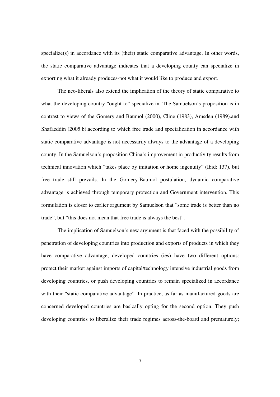specialize(s) in accordance with its (their) static comparative advantage. In other words, the static comparative advantage indicates that a developing county can specialize in exporting what it already produces-not what it would like to produce and export.

 The neo-liberals also extend the implication of the theory of static comparative to what the developing country "ought to" specialize in. The Samuelson's proposition is in contrast to views of the Gomery and Baumol (2000), Cline (1983), Amsden (1989).and Shafaeddin (2005.b).according to which free trade and specialization in accordance with static comparative advantage is not necessarily always to the advantage of a developing county. In the Samuelson's proposition China's improvement in productivity results from technical innovation which "takes place by imitation or home ingenuity" (Ibid: 137), but free trade still prevails. In the Gomery-Baumol postulation, dynamic comparative advantage is achieved through temporary protection and Government intervention. This formulation is closer to earlier argument by Samuelson that "some trade is better than no trade", but "this does not mean that free trade is always the best".

 The implication of Samuelson's new argument is that faced with the possibility of penetration of developing countries into production and exports of products in which they have comparative advantage, developed countries (ies) have two different options: protect their market against imports of capital/technology intensive industrial goods from developing countries, or push developing countries to remain specialized in accordance with their "static comparative advantage". In practice, as far as manufactured goods are concerned developed countries are basically opting for the second option. They push developing countries to liberalize their trade regimes across-the-board and prematurely;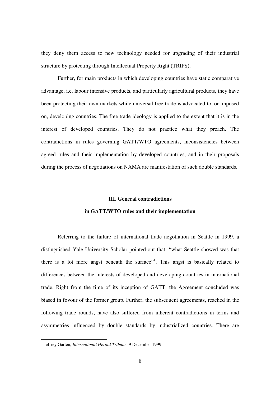they deny them access to new technology needed for upgrading of their industrial structure by protecting through Intellectual Property Right (TRIPS).

 Further, for main products in which developing countries have static comparative advantage, i.e. labour intensive products, and particularly agricultural products, they have been protecting their own markets while universal free trade is advocated to, or imposed on, developing countries. The free trade ideology is applied to the extent that it is in the interest of developed countries. They do not practice what they preach. The contradictions in rules governing GATT/WTO agreements, inconsistencies between agreed rules and their implementation by developed countries, and in their proposals during the process of negotiations on NAMA are manifestation of such double standards.

## **III. General contradictions**

## **in GATT/WTO rules and their implementation**

Referring to the failure of international trade negotiation in Seattle in 1999, a distinguished Yale University Scholar pointed-out that: "what Seattle showed was that there is a lot more angst beneath the surface"<sup>1</sup>. This angst is basically related to differences between the interests of developed and developing countries in international trade. Right from the time of its inception of GATT; the Agreement concluded was biased in fovour of the former group. Further, the subsequent agreements, reached in the following trade rounds, have also suffered from inherent contradictions in terms and asymmetries influenced by double standards by industrialized countries. There are

 1 Jeffrey Garten, *International Herald Tribune*, 9 December 1999.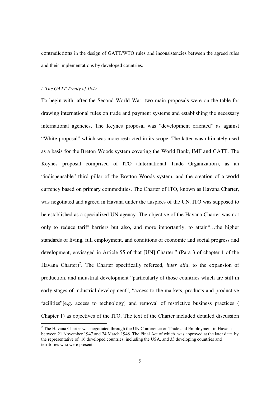contradictions in the design of GATT/WTO rules and inconsistencies between the agreed rules and their implementations by developed countries.

## *i. The GATT Treaty of 1947*

-

To begin with, after the Second World War, two main proposals were on the table for drawing international rules on trade and payment systems and establishing the necessary international agencies. The Keynes proposal was "development oriented" as against "White proposal" which was more restricted in its scope. The latter was ultimately used as a basis for the Breton Woods system covering the World Bank, IMF and GATT. The Keynes proposal comprised of ITO (International Trade Organization), as an "indispensable" third pillar of the Bretton Woods system, and the creation of a world currency based on primary commodities. The Charter of ITO, known as Havana Charter, was negotiated and agreed in Havana under the auspices of the UN. ITO was supposed to be established as a specialized UN agency. The objective of the Havana Charter was not only to reduce tariff barriers but also, and more importantly, to attain"…the higher standards of living, full employment, and conditions of economic and social progress and development, envisaged in Article 55 of that [UN] Charter." (Para 3 of chapter 1 of the Havana Charter)<sup>2</sup>. The Charter specifically refereed, *inter alia*, to the expansion of production, and industrial development "particularly of those countries which are still in early stages of industrial development", "access to the markets, products and productive facilities"[e.g. access to technology] and removal of restrictive business practices ( Chapter 1) as objectives of the ITO. The text of the Charter included detailed discussion

 $2$  The Havana Charter was negotiated through the UN Conference on Trade and Employment in Havana between 21 November 1947 and 24 March 1948. The Final Act of which was approved at the later date by the representative of 16 developed countries, including the USA, and 33 developing countries and territories who were present.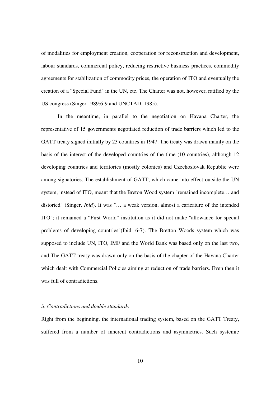of modalities for employment creation, cooperation for reconstruction and development, labour standards, commercial policy, reducing restrictive business practices, commodity agreements for stabilization of commodity prices, the operation of ITO and eventually the creation of a "Special Fund" in the UN, etc. The Charter was not, however, ratified by the US congress (Singer 1989:6-9 and UNCTAD, 1985).

 In the meantime, in parallel to the negotiation on Havana Charter, the representative of 15 governments negotiated reduction of trade barriers which led to the GATT treaty signed initially by 23 countries in 1947. The treaty was drawn mainly on the basis of the interest of the developed countries of the time (10 countries), although 12 developing countries and territories (mostly colonies) and Czechoslovak Republic were among signatories. The establishment of GATT, which came into effect outside the UN system, instead of ITO, meant that the Breton Wood system "remained incomplete… and distorted" (Singer, *Ibid*). It was "… a weak version, almost a caricature of the intended ITO"; it remained a "First World" institution as it did not make "allowance for special problems of developing countries"(Ibid: 6-7). The Bretton Woods system which was supposed to include UN, ITO, IMF and the World Bank was based only on the last two, and The GATT treaty was drawn only on the basis of the chapter of the Havana Charter which dealt with Commercial Policies aiming at reduction of trade barriers. Even then it was full of contradictions.

## *ii. Contradictions and double standards*

Right from the beginning, the international trading system, based on the GATT Treaty, suffered from a number of inherent contradictions and asymmetries. Such systemic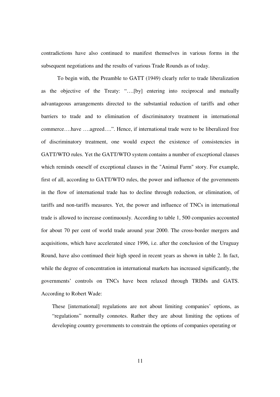contradictions have also continued to manifest themselves in various forms in the subsequent negotiations and the results of various Trade Rounds as of today.

To begin with, the Preamble to GATT (1949) clearly refer to trade liberalization as the objective of the Treaty: "….[by] entering into reciprocal and mutually advantageous arrangements directed to the substantial reduction of tariffs and other barriers to trade and to elimination of discriminatory treatment in international commerce….have ….agreed….". Hence, if international trade were to be liberalized free of discriminatory treatment, one would expect the existence of consistencies in GATT/WTO rules. Yet the GATT/WTO system contains a number of exceptional clauses which reminds oneself of exceptional clauses in the "Animal Farm" story. For example, first of all, according to GATT/WTO rules, the power and influence of the governments in the flow of international trade has to decline through reduction, or elimination, of tariffs and non-tariffs measures. Yet, the power and influence of TNCs in international trade is allowed to increase continuously. According to table 1, 500 companies accounted for about 70 per cent of world trade around year 2000. The cross-border mergers and acquisitions, which have accelerated since 1996, i.e. after the conclusion of the Uruguay Round, have also continued their high speed in recent years as shown in table 2. In fact, while the degree of concentration in international markets has increased significantly, the governments' controls on TNCs have been relaxed through TRIMs and GATS. According to Robert Wade:

These [international] regulations are not about limiting companies' options, as "regulations" normally connotes. Rather they are about limiting the options of developing country governments to constrain the options of companies operating or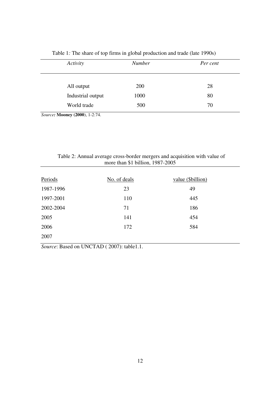| Activity                        | <b>Number</b> | Per cent |  |  |
|---------------------------------|---------------|----------|--|--|
| All output<br>Industrial output | 200<br>1000   | 28<br>80 |  |  |
| World trade                     | 500           | 70       |  |  |

Table 1*:* The share of top firms in global production and trade (late 1990s)

*Source:* **Mooney (2000**), 1-2:74.

| Table 2: Annual average cross-border mergers and acquisition with value of |                                    |  |  |  |
|----------------------------------------------------------------------------|------------------------------------|--|--|--|
|                                                                            | more than \$1 billion, $1987-2005$ |  |  |  |

| Periods   | No. of deals | value (\$billion) |
|-----------|--------------|-------------------|
| 1987-1996 | 23           | 49                |
| 1997-2001 | 110          | 445               |
| 2002-2004 | 71           | 186               |
| 2005      | 141          | 454               |
| 2006      | 172          | 584               |
| 2007      |              |                   |

*Source*: Based on UNCTAD ( 2007): table1.1.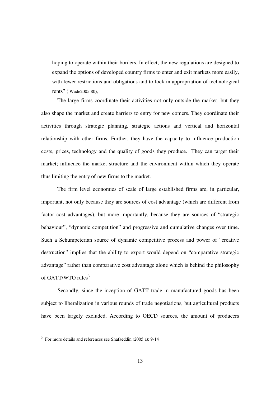hoping to operate within their borders. In effect, the new regulations are designed to expand the options of developed country firms to enter and exit markets more easily, with fewer restrictions and obligations and to lock in appropriation of technological rents" ( Wade2005:80),

The large firms coordinate their activities not only outside the market, but they also shape the market and create barriers to entry for new comers. They coordinate their activities through strategic planning, strategic actions and vertical and horizontal relationship with other firms. Further, they have the capacity to influence production costs, prices, technology and the quality of goods they produce. They can target their market; influence the market structure and the environment within which they operate thus limiting the entry of new firms to the market.

The firm level economies of scale of large established firms are, in particular, important, not only because they are sources of cost advantage (which are different from factor cost advantages), but more importantly, because they are sources of "strategic behaviour", "dynamic competition" and progressive and cumulative changes over time. Such a Schumpeterian source of dynamic competitive process and power of "creative destruction" implies that the ability to export would depend on "comparative strategic advantage" rather than comparative cost advantage alone which is behind the philosophy of GATT/WTO rules $3$ 

Secondly, since the inception of GATT trade in manufactured goods has been subject to liberalization in various rounds of trade negotiations, but agricultural products have been largely excluded. According to OECD sources, the amount of producers

 3 For more details and references see Shafaeddin (2005.a): 9-14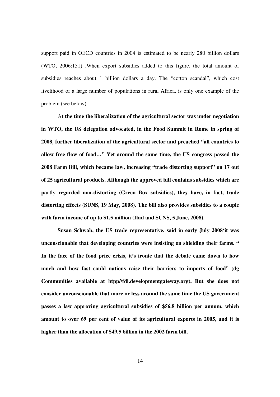support paid in OECD countries in 2004 is estimated to be nearly 280 billion dollars (WTO, 2006:151) .When export subsidies added to this figure, the total amount of subsidies reaches about 1 billion dollars a day. The "cotton scandal", which cost livelihood of a large number of populations in rural Africa, is only one example of the problem (see below).

 A**t the time the liberalization of the agricultural sector was under negotiation in WTO, the US delegation advocated, in the Food Summit in Rome in spring of 2008, further liberalization of the agricultural sector and preached "all countries to allow free flow of food…" Yet around the same time, the US congress passed the 2008 Farm Bill, which became law, increasing "trade distorting support" on 17 out of 25 agricultural products. Although the approved bill contains subsidies which are partly regarded non-distorting (Green Box subsidies), they have, in fact, trade distorting effects (SUNS, 19 May, 2008). The bill also provides subsidies to a couple with farm income of up to \$1.5 million (Ibid and SUNS, 5 June, 2008).** 

**Susan Schwab, the US trade representative, said in early July 2008'it was unconscionable that developing countries were insisting on shielding their farms. " In the face of the food price crisis, it's ironic that the debate came down to how much and how fast could nations raise their barriers to imports of food" (dg Communities available at htpp//fdi.developmentgateway.org). But she does not consider unconscionable that more or less around the same time the US government passes a law approving agricultural subsidies of \$56.8 billion per annum, which amount to over 69 per cent of value of its agricultural exports in 2005, and it is higher than the allocation of \$49.5 billion in the 2002 farm bill.**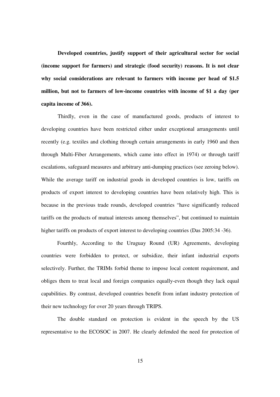**Developed countries, justify support of their agricultural sector for social (income support for farmers) and strategic (food security) reasons. It is not clear why social considerations are relevant to farmers with income per head of \$1.5 million, but not to farmers of low-income countries with income of \$1 a day (per capita income of 366).** 

Thirdly, even in the case of manufactured goods, products of interest to developing countries have been restricted either under exceptional arrangements until recently (e.g. textiles and clothing through certain arrangements in early 1960 and then through Multi-Fiber Arrangements, which came into effect in 1974) or through tariff escalations, safeguard measures and arbitrary anti-dumping practices (see zeroing below). While the average tariff on industrial goods in developed countries is low, tariffs on products of export interest to developing countries have been relatively high. This is because in the previous trade rounds, developed countries "have significantly reduced tariffs on the products of mutual interests among themselves", but continued to maintain higher tariffs on products of export interest to developing countries (Das 2005:34-36).

Fourthly, According to the Uruguay Round (UR) Agreements, developing countries were forbidden to protect, or subsidize, their infant industrial exports selectively. Further, the TRIMs forbid theme to impose local content requirement, and obliges them to treat local and foreign companies equally-even though they lack equal capabilities. By contrast, developed countries benefit from infant industry protection of their new technology for over 20 years through TRIPS.

The double standard on protection is evident in the speech by the US representative to the ECOSOC in 2007. He clearly defended the need for protection of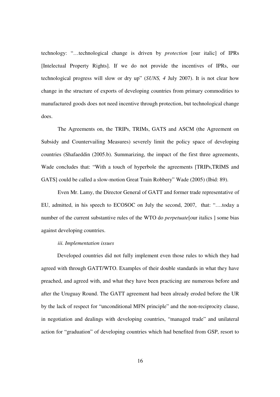technology: "…technological change is driven by *protection* [our italic] of IPRs [Intelectual Property Rights]. If we do not provide the incentives of IPRs, our technological progress will slow or dry up" (*SUNS, 4* July 2007). It is not clear how change in the structure of exports of developing countries from primary commodities to manufactured goods does not need incentive through protection, but technological change does.

 The Agreements on, the TRIPs, TRIMs, GATS and ASCM (the Agreement on Subsidy and Countervailing Measures) severely limit the policy space of developing countries (Shafaeddin (2005.b). Summarizing, the impact of the first three agreements, Wade concludes that: "With a touch of hyperbole the agreements [TRIPs,TRIMS and GATS] could be called a slow-motion Great Train Robbery" Wade (2005) (Ibid: 89).

Even Mr. Lamy, the Director General of GATT and former trade representative of EU, admitted, in his speech to ECOSOC on July the second, 2007, that: "….today a number of the current substantive rules of the WTO do *perpetuate*[our italics ] some bias against developing countries.

## *iii. Implementation issues*

Developed countries did not fully implement even those rules to which they had agreed with through GATT/WTO. Examples of their double standards in what they have preached, and agreed with, and what they have been practicing are numerous before and after the Uruguay Round. The GATT agreement had been already eroded before the UR by the lack of respect for "unconditional MFN principle" and the non-reciprocity clause, in negotiation and dealings with developing countries, "managed trade" and unilateral action for "graduation" of developing countries which had benefited from GSP, resort to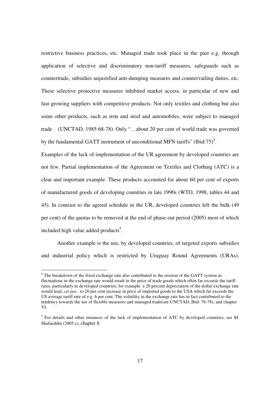restrictive business practices, etc. Managed trade took place in the past e.g. through application of selective and discriminatory non-tariff measures, safeguards such as countertrade, subsidies unjustified anti-dumping measures and countervailing duties, etc. These selective protective measures inhibited market access, in particular of new and fast-growing suppliers with competitive products. Not only textiles and clothing but also some other products, such as iron and steel and automobiles, were subject to managed trade (UNCTAD, 1985:68-78). Only "…about 20 per cent of world trade was governed by the fundamental GATT instrument of unconditional MFN tariffs" (Ibid:75)<sup>4</sup>.

Examples of the lack of implementation of the UR agreement by developed countries are not few. Partial implementation of the Agreement on Textiles and Clothing (ATC) is a clear and important example. These products accounted for about 60 per cent of exports of manufactured goods of developing countries in late 1990s (WTO, 1998, tables 44 and 45). In contrast to the agreed schedule in the UR, developed countries left the bulk (49 per cent) of the quotas to be removed at the end of phase-out period (2005) most of which included high value added products<sup>5</sup>.

Another example is the use, by developed countries, of targeted exports subsidies and industrial policy which is restricted by Uruguay Round Agreements (URAs).

<sup>-</sup><sup>4</sup> The breakdown of the fixed exchange rate also contributed to the erosion of the GATT system as fluctuations in the exchange rate would result in the price of trade goods which often far exceeds the tariff rates, particularly in developed countries; for example a 20 percent depreciation of the dollar exchange rate would lead, *cet par*, to 20 per cent increase in price of imported goods to the USA which far exceeds the US average tariff rate of e.g. 6 per cent. The volatility in the exchange rate has in fact contributed to the tendency towards the use of flexible measures and managed trade(see UNCTAD, Ibid: 76-78), and chapter VI.

<sup>&</sup>lt;sup>5</sup> For details and other instances of the lack of implementation of ATC by developed countries, see M. Shafaeddin (2005.c), chapter 8.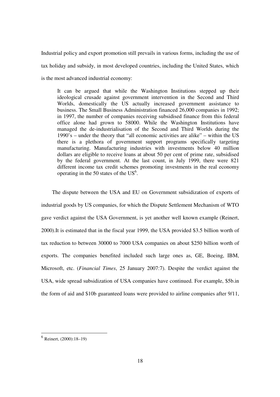Industrial policy and export promotion still prevails in various forms, including the use of tax holiday and subsidy, in most developed countries, including the United States, which is the most advanced industrial economy:

It can be argued that while the Washington Institutions stepped up their ideological crusade against government intervention in the Second and Third Worlds, domestically the US actually increased government assistance to business. The Small Business Administration financed 26,000 companies in 1992; in 1997, the number of companies receiving subsidised finance from this federal office alone had grown to 58000. While the Washington Institutions have managed the de-industrialisation of the Second and Third Worlds during the 1990's – under the theory that "all economic activities are alike" – within the US there is a plethora of government support programs specifically targeting manufacturing. Manufacturing industries with investments below 40 million dollars are eligible to receive loans at about 50 per cent of prime rate, subsidised by the federal government. At the last count, in July 1999, there were 821 different income tax credit schemes promoting investments in the real economy operating in the 50 states of the  $US^6$ .

 The dispute between the USA and EU on Government subsidization of exports of industrial goods by US companies, for which the Dispute Settlement Mechanism of WTO gave verdict against the USA Government, is yet another well known example (Reinert, 2000).It is estimated that in the fiscal year 1999, the USA provided \$3.5 billion worth of tax reduction to between 30000 to 7000 USA companies on about \$250 billion worth of exports. The companies benefited included such large ones as, GE, Boeing, IBM, Microsoft, etc. (*Financial Times*, 25 January 2007:7). Despite the verdict against the USA, wide spread subsidization of USA companies have continued. For example, \$5b.in the form of aid and \$10b guaranteed loans were provided to airline companies after 9/11,

 6 Reinert, (2000):18–19)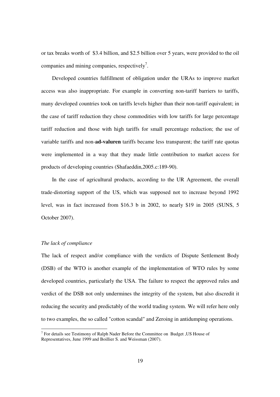or tax breaks worth of \$3.4 billion, and \$2.5 billion over 5 years, were provided to the oil companies and mining companies, respectively<sup>7</sup>.

 Developed countries fulfillment of obligation under the URAs to improve market access was also inappropriate. For example in converting non-tariff barriers to tariffs, many developed countries took on tariffs levels higher than their non-tariff equivalent; in the case of tariff reduction they chose commodities with low tariffs for large percentage tariff reduction and those with high tariffs for small percentage reduction; the use of variable tariffs and non-**ad-valuren** tariffs became less transparent; the tariff rate quotas were implemented in a way that they made little contribution to market access for products of developing countries (Shafaeddin,2005.c:189-90).

 In the case of agricultural products, according to the UR Agreement, the overall trade-distorting support of the US, which was supposed not to increase beyond 1992 level, was in fact increased from \$16.3 b in 2002, to nearly \$19 in 2005 (SUNS, 5 October 2007).

## *The lack of compliance*

The lack of respect and/or compliance with the verdicts of Dispute Settlement Body (DSB) of the WTO is another example of the implementation of WTO rules by some developed countries, particularly the USA. The failure to respect the approved rules and verdict of the DSB not only undermines the integrity of the system, but also discredit it reducing the security and predictably of the world trading system. We will refer here only to two examples, the so called "cotton scandal" and Zeroing in antidumping operations.

The Testimony of Ralph Nader Before the Committee on Budget , US House of Testimony of Ralph Nader Before the Committee on Budget , US House of Representatives, June 1999 and Boillier S. and Weissman (2007).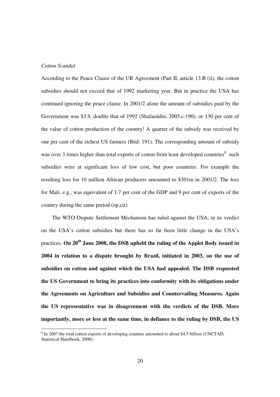## *Cotton Scandal*

-

According to the Peace Clause of the UR Agreement (Part II, article 13.B (ii), the cotton subsidies should not exceed that of 1992 marketing year. But in practice the USA has continued ignoring the peace clause. In 2001/2 alone the amount of subsidies paid by the Government was \$3.9, double that of 1992 (Shafaeddin, 2005.c:190), or 130 per cent of the value of cotton production of the country! A quarter of the subsidy was received by one per cent of the richest US farmers (Ibid: 191). The corresponding amount of subsidy was over 3 times higher than total exports of cotton from least developed countries $8$  such subsidies were at significant loss of low cost, but poor countries. For example the resulting loss for 10 million African producers amounted to \$301m in 2001/2. The loss for Mali, e.g., was equivalent of 1.7 per cent of the GDP and 9 per cent of exports of the country during the same period (op.cit).

 The WTO Dispute Settlement Mechanism has ruled against the USA, in its verdict on the USA's cotton subsidies but there has so far been little change in the USA's practices. **On 20th June 2008, the DSB upheld the ruling of the Applet Body issued in 2004 in relation to a dispute brought by Brazil, initiated in 2003, on the use of subsidies on cotton and against which the USA had appealed. The DSB requested the US Government to bring its practices into conformity with its obligations under the Agreements on Agriculture and Subsidies and Countervailing Measures. Again the US representative was in disagreement with the verdicts of the DSB. More importantly, more or less at the same time, in defiance to the ruling by DSB, the US** 

 $8 \text{ In } 2007$  the total cotton exports of developing counties amounted to about \$4.5 billion (UNCTAD, Statistical Handbook, 2008).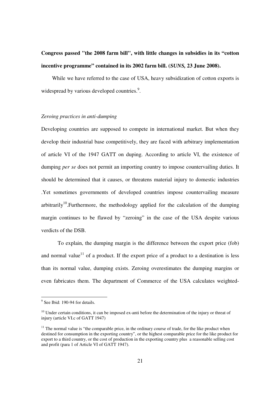## **Congress passed "the 2008 farm bill", with little changes in subsidies in its "cotton incentive programme" contained in its 2002 farm bill. (***SUNS,* **23 June 2008).**

 While we have referred to the case of USA, heavy subsidization of cotton exports is widespread by various developed countries.<sup>9</sup>.

## *Zeroing practices in anti-dumping*

Developing countries are supposed to compete in international market. But when they develop their industrial base competitively, they are faced with arbitrary implementation of article VI of the 1947 GATT on duping. According to article VI, the existence of dumping *per se* does not permit an importing country to impose countervailing duties. It should be determined that it causes, or threatens material injury to domestic industries .Yet sometimes governments of developed countries impose countervailing measure arbitrarily<sup>10</sup>. Furthermore, the methodology applied for the calculation of the dumping margin continues to be flawed by "zeroing" in the case of the USA despite various verdicts of the DSB.

 To explain, the dumping margin is the difference between the export price (fob) and normal value<sup>11</sup> of a product. If the export price of a product to a destination is less than its normal value, dumping exists. Zeroing overestimates the dumping margins or even fabricates them. The department of Commerce of the USA calculates weighted-

<sup>&</sup>lt;sup>9</sup> See Ibid: 190-94 for details.

 $10$  Under certain conditions, it can be imposed ex-anti before the determination of the injury or threat of injury (article VI.c of GATT 1947)

 $11$  The normal value is "the comparable price, in the ordinary course of trade, for the like product when destined for consumption in the exporting country", or the highest comparable price for the like product for export to a third country, or the cost of production in the exporting country plus a reasonable selling cost and profit (para 1 of Article VI of GATT 1947).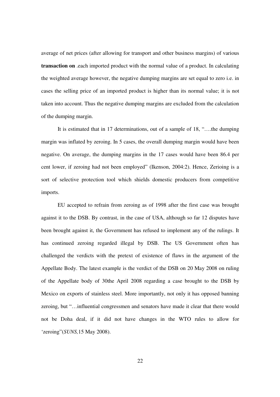average of net prices (after allowing for transport and other business margins) of various **transaction on** .each imported product with the normal value of a product. In calculating the weighted average however, the negative dumping margins are set equal to zero i.e. in cases the selling price of an imported product is higher than its normal value; it is not taken into account. Thus the negative dumping margins are excluded from the calculation of the dumping margin.

 It is estimated that in 17 determinations, out of a sample of 18, "….the dumping margin was inflated by zeroing. In 5 cases, the overall dumping margin would have been negative. On average, the dumping margins in the 17 cases would have been 86.4 per cent lower, if zeroing had not been employed" (Ikenson, 2004:2). Hence, Zerioing is a sort of selective protection tool which shields domestic producers from competitive imports.

 EU accepted to refrain from zeroing as of 1998 after the first case was brought against it to the DSB. By contrast, in the case of USA, although so far 12 disputes have been brought against it, the Government has refused to implement any of the rulings. It has continued zeroing regarded illegal by DSB. The US Government often has challenged the verdicts with the pretext of existence of flaws in the argument of the Appellate Body. The latest example is the verdict of the DSB on 20 May 2008 on ruling of the Appellate body of 30the April 2008 regarding a case brought to the DSB by Mexico on exports of stainless steel. More importantly, not only it has opposed banning zeroing, but "…influential congressmen and senators have made it clear that there would not be Doha deal, if it did not have changes in the WTO rules to allow for 'zeroing"(*SUNS,*15 May 2008).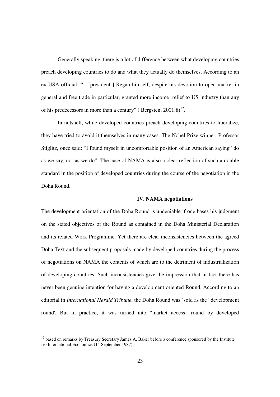Generally speaking, there is a lot of difference between what developing countries preach developing countries to do and what they actually do themselves. According to an ex-USA official: "…[president ] Regan himself, despite his devotion to open market in general and free trade in particular, granted more income relief to US industry than any of his predecessors in more than a century" (Bergsten,  $2001:8$ )<sup>12</sup>.

In nutshell, while developed countries preach developing countries to liberalize, they have tried to avoid it themselves in many cases. The Nobel Prize winner, Professor Stiglitz, once said: "I found myself in uncomfortable position of an American saying "do as we say, not as we do". The case of NAMA is also a clear reflection of such a double standard in the position of developed countries during the course of the negotiation in the Doha Round.

## **IV. NAMA negotiations**

The development orientation of the Doha Round is undeniable if one bases his judgment on the stated objectives of the Round as contained in the Doha Ministerial Declaration and its related Work Programme. Yet there are clear inconsistencies between the agreed Doha Text and the subsequent proposals made by developed countries during the process of negotiations on NAMA the contents of which are to the detriment of industrialization of developing countries. Such inconsistencies give the impression that in fact there has never been genuine intention for having a development oriented Round. According to an editorial in *International Herald Tribune*, the Doha Round was 'sold as the "development round'. But in practice, it was turned into "market access" round by developed

-

 $12$  based on remarks by Treasury Secretary James A. Baker before a conference sponsored by the Institute fro International Economics (14 September 1987).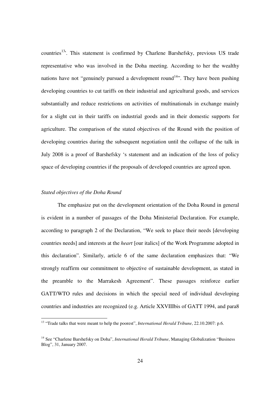countries<sup>13</sup>. This statement is confirmed by Charlene Barshefsky, previous US trade representative who was involved in the Doha meeting. According to her the wealthy nations have not "genuinely pursued a development round<sup>14</sup>". They have been pushing developing countries to cut tariffs on their industrial and agricultural goods, and services substantially and reduce restrictions on activities of multinationals in exchange mainly for a slight cut in their tariffs on industrial goods and in their domestic supports for agriculture. The comparison of the stated objectives of the Round with the position of developing countries during the subsequent negotiation until the collapse of the talk in July 2008 is a proof of Barshefsky 's statement and an indication of the loss of policy space of developing countries if the proposals of developed countries are agreed upon.

## *Stated objectives of the Doha Round*

-

 The emphasize put on the development orientation of the Doha Round in general is evident in a number of passages of the Doha Ministerial Declaration. For example, according to paragraph 2 of the Declaration, "We seek to place their needs [developing countries needs] and interests at the *heart* [our italics] of the Work Programme adopted in this declaration". Similarly, article 6 of the same declaration emphasizes that: "We strongly reaffirm our commitment to objective of sustainable development, as stated in the preamble to the Marrakesh Agreement". These passages reinforce earlier GATT/WTO rules and decisions in which the special need of individual developing countries and industries are recognized (e.g. Article XXVIIIbis of GATT 1994, and para8

<sup>&</sup>lt;sup>13</sup> "Trade talks that were meant to help the poorest", *International Herald Tribune*, 22.10.2007: p.6.

<sup>14</sup> See "Charlene Barshefsky on Doha", *International Herald Tribune*, Managing Globalization "Business Blog", 31, January 2007.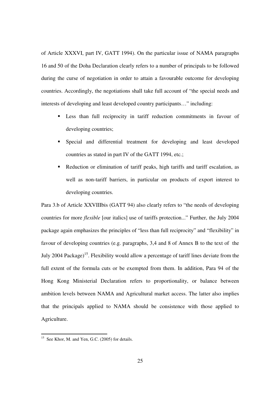of Article XXXVI, part IV, GATT 1994). On the particular issue of NAMA paragraphs 16 and 50 of the Doha Declaration clearly refers to a number of principals to be followed during the curse of negotiation in order to attain a favourable outcome for developing countries. Accordingly, the negotiations shall take full account of "the special needs and interests of developing and least developed country participants…" including:

- Less than full reciprocity in tariff reduction commitments in favour of developing countries;
- Special and differential treatment for developing and least developed countries as stated in part IV of the GATT 1994, etc.;
- Reduction or elimination of tariff peaks, high tariffs and tariff escalation, as well as non-tariff barriers, in particular on products of export interest to developing countries.

Para 3.b of Article XXVIIIbis (GATT 94) also clearly refers to "the needs of developing countries for more *flexible* [our italics] use of tariffs protection..." Further, the July 2004 package again emphasizes the principles of "less than full reciprocity" and "flexibility" in favour of developing countries (e.g. paragraphs, 3,4 and 8 of Annex B to the text of the July 2004 Package)<sup>15</sup>. Flexibility would allow a percentage of tariff lines deviate from the full extent of the formula cuts or be exempted from them. In addition, Para 94 of the Hong Kong Ministerial Declaration refers to proportionality, or balance between ambition levels between NAMA and Agricultural market access. The latter also implies that the principals applied to NAMA should be consistence with those applied to Agriculture.

-

 $15$  See Khor, M. and Yen, G.C. (2005) for details.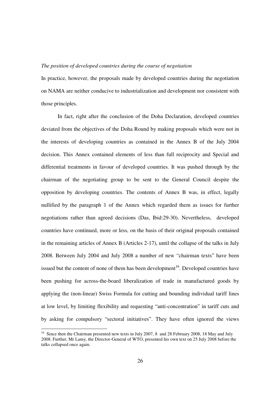## *The position of developed countries during the course of negotiation*

In practice, however, the proposals made by developed countries during the negotiation on NAMA are neither conducive to industrialization and development nor consistent with those principles.

In fact, right after the conclusion of the Doha Declaration, developed countries deviated from the objectives of the Doha Round by making proposals which were not in the interests of developing countries as contained in the Annex B of the July 2004 decision. This Annex contained elements of less than full reciprocity and Special and differential treatments in favour of developed countries. It was pushed through by the chairman of the negotiating group to be sent to the General Council despite the opposition by developing countries. The contents of Annex B was, in effect, legally nullified by the paragraph 1 of the Annex which regarded them as issues for further negotiations rather than agreed decisions (Das, Ibid:29-30). Nevertheless, developed countries have continued, more or less, on the basis of their original proposals contained in the remaining articles of Annex B (Articles 2-17), until the collapse of the talks in July 2008. Between July 2004 and July 2008 a number of new "chairman texts" have been issued but the content of none of them has been development<sup>16</sup>. Developed countries have been pushing for across-the-board liberalization of trade in manufactured goods by applying the (non-linear) Swiss Formula for cutting and bounding individual tariff lines at low level, by limiting flexibility and requesting "anti-concentration" in tariff cuts and by asking for compulsory "sectoral initiatives". They have often ignored the views

-

<sup>&</sup>lt;sup>16</sup> Since then the Chairman presented new texts in July 2007, 8 and 28 February 2008, 18 May and July 2008. Further, Mr Lamy, the Director-General of WTO, presented his own text on 25 July 2008 before the talks collapsed once again.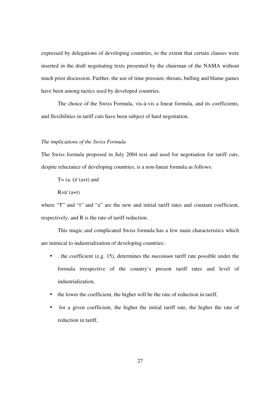expressed by delegations of developing countries, to the extent that certain clauses were inserted in the draft negotiating texts presented by the chairman of the NAMA without much prior discussion. Further, the use of time pressure, threats, bulling and blame games have been among tactics used by developed countries.

 The choice of the Swiss Formula, vis-à-vis a linear formula, and its coefficients, and flexibilities in tariff cuts have been subject of hard negotiation.

## *The implications of the Swiss Formula*

The Swiss formula proposed in July 2004 text and used for negotiation for tariff cuts, despite reluctance of developing countries, is a non-linear formula as follows:

 $T=(a, t)/(a+t)$  and  $R=t/(a+t)$ 

where "T" and "t" and "a" are the new and initial tariff rates and constant coefficient, respectively, and R is the rate of tariff reduction.

 This magic and complicated Swiss formula has a few main characteristics which are inimical to industrialization of developing countries:

- . the coefficient (e.g. 15), determines the *maximum* tariff rate possible under the formula irrespective of the country's present tariff rates and level of industrialization,
- the lower the coefficient, the higher will be the rate of reduction in tariff,
- for a given coefficient, the higher the initial tariff rate, the higher the rate of reduction in tariff,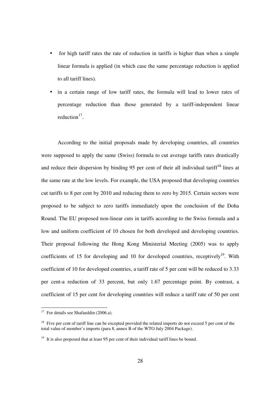- for high tariff rates the rate of reduction in tariffs is higher than when a simple linear formula is applied (in which case the same percentage reduction is applied to all tariff lines).
- in a certain range of low tariff rates, the formula will lead to lower rates of percentage reduction than those generated by a tariff-independent linear reduction $17$ .

 According to the initial proposals made by developing countries, all countries were supposed to apply the same (Swiss) formula to cut average tariffs rates drastically and reduce their dispersion by binding 95 per cent of their all individual tariff<sup>18</sup> lines at the same rate at the low levels. For example, the USA proposed that developing countries cut tariffs to 8 per cent by 2010 and reducing them to zero by 2015. Certain sectors were proposed to be subject to zero tariffs immediately upon the conclusion of the Doha Round. The EU proposed non-linear cuts in tariffs according to the Swiss formula and a low and uniform coefficient of 10 chosen for both developed and developing countries. Their proposal following the Hong Kong Ministerial Meeting (2005) was to apply coefficients of 15 for developing and 10 for developed countries, receptively<sup>19</sup>. With coefficient of 10 for developed countries, a tariff rate of 5 per cent will be reduced to 3.33 per cent-a reduction of 33 percent, but only 1.67 percentage point. By contrast, a coefficient of 15 per cent for developing countries will reduce a tariff rate of 50 per cent

-

 $17$  For details see Shafaeddin (2006.a).

<sup>&</sup>lt;sup>18</sup> Five per cent of tariff line can be excepted provided the related imports do not exceed 5 per cent of the total value of member's imports (para 8, annex B of the WTO July 2004 Package).

<sup>&</sup>lt;sup>19</sup> It is also proposed that at least 95 per cent of their individual tariff lines be bound.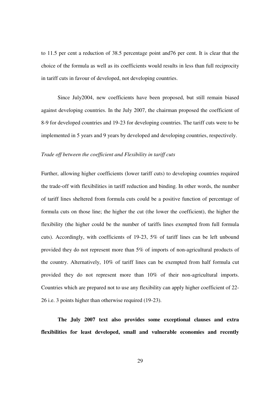to 11.5 per cent a reduction of 38.5 percentage point and76 per cent. It is clear that the choice of the formula as well as its coefficients would results in less than full reciprocity in tariff cuts in favour of developed, not developing countries.

Since July2004, new coefficients have been proposed, but still remain biased against developing countries. In the July 2007, the chairman proposed the coefficient of 8-9 for developed countries and 19-23 for developing countries. The tariff cuts were to be implemented in 5 years and 9 years by developed and developing countries, respectively.

## *Trade off between the coefficient and Flexibility in tariff cuts*

Further, allowing higher coefficients (lower tariff cuts) to developing countries required the trade-off with flexibilities in tariff reduction and binding. In other words, the number of tariff lines sheltered from formula cuts could be a positive function of percentage of formula cuts on those line; the higher the cut (the lower the coefficient), the higher the flexibility (the higher could be the number of tariffs lines exempted from full formula cuts). Accordingly, with coefficients of 19-23, 5% of tariff lines can be left unbound provided they do not represent more than 5% of imports of non-agricultural products of the country. Alternatively, 10% of tariff lines can be exempted from half formula cut provided they do not represent more than 10% of their non-agricultural imports. Countries which are prepared not to use any flexibility can apply higher coefficient of 22- 26 i.e. 3 points higher than otherwise required (19-23).

**The July 2007 text also provides some exceptional clauses and extra flexibilities for least developed, small and vulnerable economies and recently**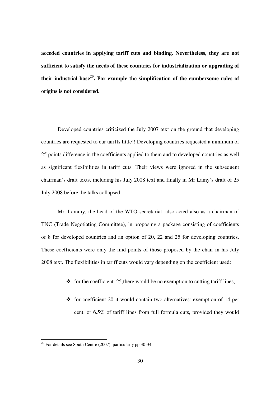**acceded countries in applying tariff cuts and binding. Nevertheless, they are not sufficient to satisfy the needs of these countries for industrialization or upgrading of their industrial base<sup>20</sup>. For example the simplification of the cumbersome rules of origins is not considered.** 

Developed countries criticized the July 2007 text on the ground that developing countries are requested to cur tariffs little!! Developing countries requested a minimum of 25 points difference in the coefficients applied to them and to developed countries as well as significant flexibilities in tariff cuts. Their views were ignored in the subsequent chairman's draft texts, including his July 2008 text and finally in Mr Lamy's draft of 25 July 2008 before the talks collapsed.

Mr. Lammy, the head of the WTO secretariat, also acted also as a chairman of TNC (Trade Negotiating Committee), in proposing a package consisting of coefficients of 8 for developed countries and an option of 20, 22 and 25 for developing countries. These coefficients were only the mid points of those proposed by the chair in his July 2008 text. The flexibilities in tariff cuts would vary depending on the coefficient used:

- for the coefficient 25, there would be no exemption to cutting tariff lines,
- for coefficient 20 it would contain two alternatives: exemption of 14 per cent, or 6.5% of tariff lines from full formula cuts, provided they would

-

 $20^{\circ}$  For details see South Centre (2007), particularly pp 30-34.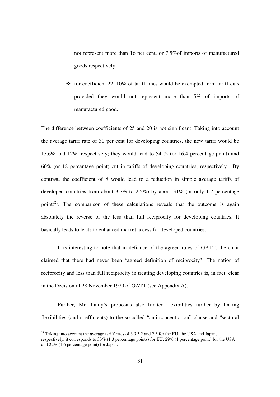not represent more than 16 per cent, or 7.5%of imports of manufactured goods respectively

- for coefficient 22, 10% of tariff lines would be exempted from tariff cuts provided they would not represent more than 5% of imports of manufactured good.

The difference between coefficients of 25 and 20 is not significant. Taking into account the average tariff rate of 30 per cent for developing countries, the new tariff would be 13.6% and 12%, respectively; they would lead to 54 % (or 16.4 percentage point) and 60% (or 18 percentage point) cut in tariffs of developing countries, respectively . By contrast, the coefficient of 8 would lead to a reduction in simple average tariffs of developed countries from about 3.7% to 2.5%) by about 31% (or only 1.2 percentage point)<sup>21</sup>. The comparison of these calculations reveals that the outcome is again absolutely the reverse of the less than full reciprocity for developing countries. It basically leads to leads to enhanced market access for developed countries.

It is interesting to note that in defiance of the agreed rules of GATT, the chair claimed that there had never been "agreed definition of reciprocity". The notion of reciprocity and less than full reciprocity in treating developing countries is, in fact, clear in the Decision of 28 November 1979 of GATT (see Appendix A).

 Further, Mr. Lamy's proposals also limited flexibilities further by linking flexibilities (and coefficients) to the so-called "anti-concentration" clause and "sectoral

-

<sup>&</sup>lt;sup>21</sup> Taking into account the average tariff rates of 3.9,3.2 and 2.3 for the EU, the USA and Japan, respectively, it corresponds to 33% (1.3 percentage points) for EU; 29% (1 percentage point) for the USA and 22% (1.6 percentage point) for Japan.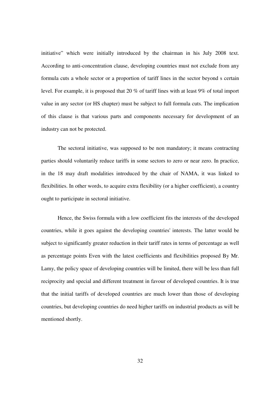initiative" which were initially introduced by the chairman in his July 2008 text. According to anti-concentration clause, developing countries must not exclude from any formula cuts a whole sector or a proportion of tariff lines in the sector beyond s certain level. For example, it is proposed that 20 % of tariff lines with at least 9% of total import value in any sector (or HS chapter) must be subject to full formula cuts. The implication of this clause is that various parts and components necessary for development of an industry can not be protected.

The sectoral initiative, was supposed to be non mandatory; it means contracting parties should voluntarily reduce tariffs in some sectors to zero or near zero. In practice, in the 18 may draft modalities introduced by the chair of NAMA, it was linked to flexibilities. In other words, to acquire extra flexibility (or a higher coefficient), a country ought to participate in sectoral initiative.

Hence, the Swiss formula with a low coefficient fits the interests of the developed countries, while it goes against the developing countries' interests. The latter would be subject to significantly greater reduction in their tariff rates in terms of percentage as well as percentage points Even with the latest coefficients and flexibilities proposed By Mr. Lamy, the policy space of developing countries will be limited, there will be less than full reciprocity and special and different treatment in favour of developed countries. It is true that the initial tariffs of developed countries are much lower than those of developing countries, but developing countries do need higher tariffs on industrial products as will be mentioned shortly.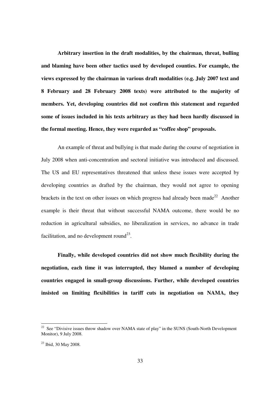**Arbitrary insertion in the draft modalities, by the chairman, threat, bulling and blaming have been other tactics used by developed counties. For example, the views expressed by the chairman in various draft modalities (e.g. July 2007 text and 8 February and 28 February 2008 texts) were attributed to the majority of members. Yet, developing countries did not confirm this statement and regarded some of issues included in his texts arbitrary as they had been hardly discussed in the formal meeting. Hence, they were regarded as "coffee shop" proposals.** 

 An example of threat and bullying is that made during the course of negotiation in July 2008 when anti-concentration and sectoral initiative was introduced and discussed. The US and EU representatives threatened that unless these issues were accepted by developing countries as drafted by the chairman, they would not agree to opening brackets in the text on other issues on which progress had already been made<sup>22</sup> Another example is their threat that without successful NAMA outcome, there would be no reduction in agricultural subsidies, no liberalization in services, no advance in trade facilitation, and no development round<sup>23</sup>.

**Finally, while developed countries did not show much flexibility during the negotiation, each time it was interrupted, they blamed a number of developing countries engaged in small-group discussions. Further, while developed countries insisted on limiting flexibilities in tariff cuts in negotiation on NAMA, they** 

-

 $22$  See "Divisive issues throw shadow over NAMA state of play" in the SUNS (South-North Development Monitor), 9 July 2008.

<sup>23</sup> Ibid, 30 May 2008.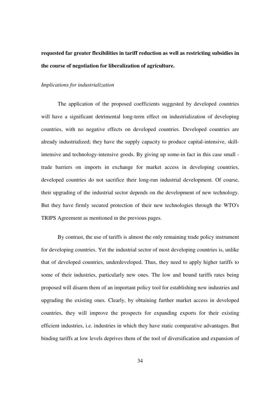## **requested far greater flexibilities in tariff reduction as well as restricting subsidies in the course of negotiation for liberalization of agriculture.**

## *Implications for industrialization*

The application of the proposed coefficients suggested by developed countries will have a significant detrimental long-term effect on industrialization of developing countries, with no negative effects on developed countries. Developed countries are already industrialized; they have the supply capacity to produce capital-intensive, skillintensive and technology-intensive goods. By giving up some-in fact in this case small trade barriers on imports in exchange for market access in developing countries, developed countries do not sacrifice their long-run industrial development. Of course, their upgrading of the industrial sector depends on the development of new technology. But they have firmly secured protection of their new technologies through the WTO's TRIPS Agreement as mentioned in the previous pages.

By contrast, the use of tariffs is almost the only remaining trade policy instrument for developing countries. Yet the industrial sector of most developing countries is, unlike that of developed countries, underdeveloped. Thus, they need to apply higher tariffs to some of their industries, particularly new ones. The low and bound tariffs rates being proposed will disarm them of an important policy tool for establishing new industries and upgrading the existing ones. Clearly, by obtaining further market access in developed countries, they will improve the prospects for expanding exports for their existing efficient industries, i.e. industries in which they have static comparative advantages. But binding tariffs at low levels deprives them of the tool of diversification and expansion of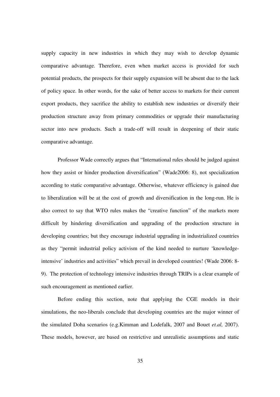supply capacity in new industries in which they may wish to develop dynamic comparative advantage. Therefore, even when market access is provided for such potential products, the prospects for their supply expansion will be absent due to the lack of policy space. In other words, for the sake of better access to markets for their current export products, they sacrifice the ability to establish new industries or diversify their production structure away from primary commodities or upgrade their manufacturing sector into new products. Such a trade-off will result in deepening of their static comparative advantage.

Professor Wade correctly argues that "International rules should be judged against how they assist or hinder production diversification" (Wade2006: 8), not specialization according to static comparative advantage. Otherwise, whatever efficiency is gained due to liberalization will be at the cost of growth and diversification in the long-run. He is also correct to say that WTO rules makes the "creative function" of the markets more difficult by hindering diversification and upgrading of the production structure in developing countries; but they encourage industrial upgrading in industrialized countries as they "permit industrial policy activism of the kind needed to nurture 'knowledgeintensive' industries and activities" which prevail in developed countries! (Wade 2006: 8- 9). The protection of technology intensive industries through TRIPs is a clear example of such encouragement as mentioned earlier.

 Before ending this section, note that applying the CGE models in their simulations, the neo-liberals conclude that developing countries are the major winner of the simulated Doha scenarios (e.g.Kimman and Lodefalk, 2007 and Bouet *et.al,* 2007). These models, however, are based on restrictive and unrealistic assumptions and static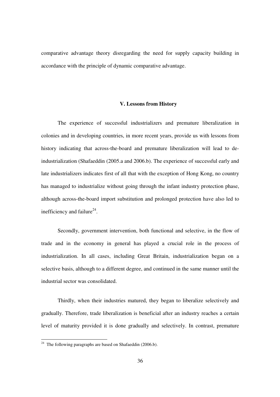comparative advantage theory disregarding the need for supply capacity building in accordance with the principle of dynamic comparative advantage.

## **V. Lessons from History**

The experience of successful industrializers and premature liberalization in colonies and in developing countries, in more recent years, provide us with lessons from history indicating that across-the-board and premature liberalization will lead to deindustrialization (Shafaeddin (2005.a and 2006.b). The experience of successful early and late industrializers indicates first of all that with the exception of Hong Kong, no country has managed to industrialize without going through the infant industry protection phase, although across-the-board import substitution and prolonged protection have also led to inefficiency and failure<sup>24</sup>.

Secondly, government intervention, both functional and selective, in the flow of trade and in the economy in general has played a crucial role in the process of industrialization. In all cases, including Great Britain, industrialization began on a selective basis, although to a different degree, and continued in the same manner until the industrial sector was consolidated.

 Thirdly, when their industries matured, they began to liberalize selectively and gradually. Therefore, trade liberalization is beneficial after an industry reaches a certain level of maturity provided it is done gradually and selectively. In contrast, premature

-

 $24$  The following paragraphs are based on Shafaeddin (2006.b).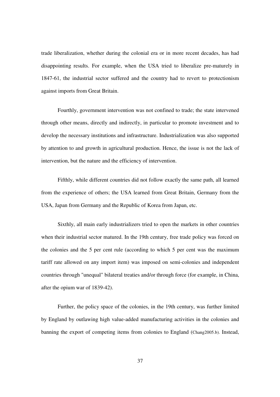trade liberalization, whether during the colonial era or in more recent decades, has had disappointing results. For example, when the USA tried to liberalize pre-maturely in 1847-61, the industrial sector suffered and the country had to revert to protectionism against imports from Great Britain.

 Fourthly, government intervention was not confined to trade; the state intervened through other means, directly and indirectly, in particular to promote investment and to develop the necessary institutions and infrastructure. Industrialization was also supported by attention to and growth in agricultural production. Hence, the issue is not the lack of intervention, but the nature and the efficiency of intervention.

 Fifthly, while different countries did not follow exactly the same path, all learned from the experience of others; the USA learned from Great Britain, Germany from the USA, Japan from Germany and the Republic of Korea from Japan, etc.

 Sixthly, all main early industrializers tried to open the markets in other countries when their industrial sector matured. In the 19th century, free trade policy was forced on the colonies and the 5 per cent rule (according to which 5 per cent was the maximum tariff rate allowed on any import item) was imposed on semi-colonies and independent countries through "unequal" bilateral treaties and/or through force (for example, in China, after the opium war of 1839-42).

 Further, the policy space of the colonies, in the 19th century, was further limited by England by outlawing high value-added manufacturing activities in the colonies and banning the export of competing items from colonies to England (Chang2005.b). Instead,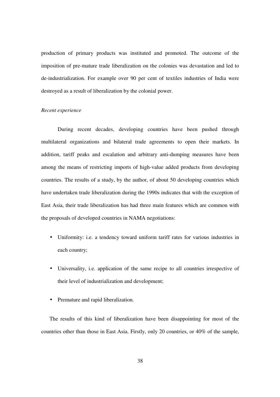production of primary products was instituted and promoted. The outcome of the imposition of pre-mature trade liberalization on the colonies was devastation and led to de-industrialization. For example over 90 per cent of textiles industries of India were destroyed as a result of liberalization by the colonial power.

## *Recent experience*

 During recent decades, developing countries have been pushed through multilateral organizations and bilateral trade agreements to open their markets. In addition, tariff peaks and escalation and arbitrary anti-dumping measures have been among the means of restricting imports of high-value added products from developing countries. The results of a study, by the author, of about 50 developing countries which have undertaken trade liberalization during the 1990s indicates that with the exception of East Asia, their trade liberalization has had three main features which are common with the proposals of developed countries in NAMA negotiations:

- Uniformity: i.e. a tendency toward uniform tariff rates for various industries in each country;
- Universality, i.e. application of the same recipe to all countries irrespective of their level of industrialization and development;
- Premature and rapid liberalization.

The results of this kind of liberalization have been disappointing for most of the countries other than those in East Asia. Firstly, only 20 countries, or 40% of the sample,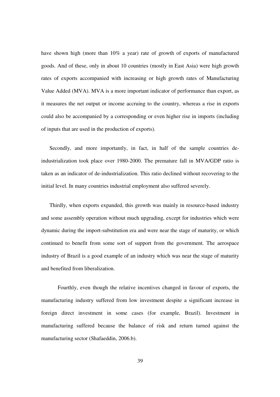have shown high (more than 10% a year) rate of growth of exports of manufactured goods. And of these, only in about 10 countries (mostly in East Asia) were high growth rates of exports accompanied with increasing or high growth rates of Manufacturing Value Added (MVA). MVA is a more important indicator of performance than export, as it measures the net output or income accruing to the country, whereas a rise in exports could also be accompanied by a corresponding or even higher rise in imports (including of inputs that are used in the production of exports).

Secondly, and more importantly, in fact, in half of the sample countries deindustrialization took place over 1980-2000. The premature fall in MVA/GDP ratio is taken as an indicator of de-industrialization. This ratio declined without recovering to the initial level. In many countries industrial employment also suffered severely.

Thirdly, when exports expanded, this growth was mainly in resource-based industry and some assembly operation without much upgrading, except for industries which were dynamic during the import-substitution era and were near the stage of maturity, or which continued to benefit from some sort of support from the government. The aerospace industry of Brazil is a good example of an industry which was near the stage of maturity and benefited from liberalization.

 Fourthly, even though the relative incentives changed in favour of exports, the manufacturing industry suffered from low investment despite a significant increase in foreign direct investment in some cases (for example, Brazil). Investment in manufacturing suffered because the balance of risk and return turned against the manufacturing sector (Shafaeddin, 2006.b).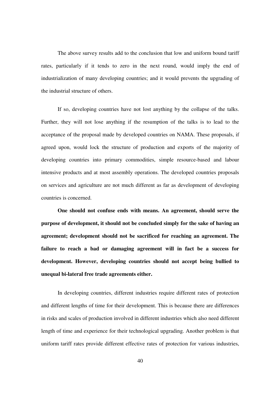The above survey results add to the conclusion that low and uniform bound tariff rates, particularly if it tends to zero in the next round, would imply the end of industrialization of many developing countries; and it would prevents the upgrading of the industrial structure of others.

 If so, developing countries have not lost anything by the collapse of the talks. Further, they will not lose anything if the resumption of the talks is to lead to the acceptance of the proposal made by developed countries on NAMA. These proposals, if agreed upon, would lock the structure of production and exports of the majority of developing countries into primary commodities, simple resource-based and labour intensive products and at most assembly operations. The developed countries proposals on services and agriculture are not much different as far as development of developing countries is concerned.

**One should not confuse ends with means. An agreement, should serve the purpose of development, it should not be concluded simply for the sake of having an agreement; development should not be sacrificed for reaching an agreement. The failure to reach a bad or damaging agreement will in fact be a success for development. However, developing countries should not accept being bullied to unequal bi-lateral free trade agreements either.** 

 In developing countries, different industries require different rates of protection and different lengths of time for their development. This is because there are differences in risks and scales of production involved in different industries which also need different length of time and experience for their technological upgrading. Another problem is that uniform tariff rates provide different effective rates of protection for various industries,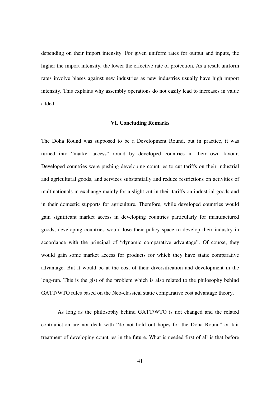depending on their import intensity. For given uniform rates for output and inputs, the higher the import intensity, the lower the effective rate of protection. As a result uniform rates involve biases against new industries as new industries usually have high import intensity. This explains why assembly operations do not easily lead to increases in value added.

## **VI. Concluding Remarks**

The Doha Round was supposed to be a Development Round, but in practice, it was turned into "market access" round by developed countries in their own favour. Developed countries were pushing developing countries to cut tariffs on their industrial and agricultural goods, and services substantially and reduce restrictions on activities of multinationals in exchange mainly for a slight cut in their tariffs on industrial goods and in their domestic supports for agriculture. Therefore, while developed countries would gain significant market access in developing countries particularly for manufactured goods, developing countries would lose their policy space to develop their industry in accordance with the principal of "dynamic comparative advantage". Of course, they would gain some market access for products for which they have static comparative advantage. But it would be at the cost of their diversification and development in the long-run. This is the gist of the problem which is also related to the philosophy behind GATT/WTO rules based on the Neo-classical static comparative cost advantage theory.

 As long as the philosophy behind GATT/WTO is not changed and the related contradiction are not dealt with "do not hold out hopes for the Doha Round" or fair treatment of developing countries in the future. What is needed first of all is that before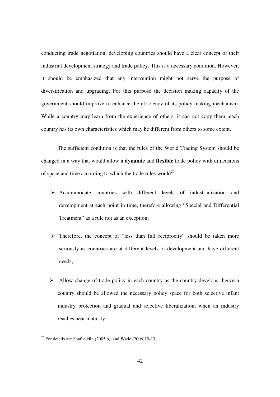conducting trade negotiation, developing countries should have a clear concept of their industrial development strategy and trade policy. This is a necessary condition. However, it should be emphasized that any intervention might not serve the purpose of diversification and upgrading. For this purpose the decision making capacity of the government should improve to enhance the efficiency of its policy making mechanism. While a country may learn from the experience of others, it can not copy them; each country has its own characteristics which may be different from others to some extent.

 The sufficient condition is that the rules of the World Trading System should be changed in a way that would allow a **dynamic** and **flexible** trade policy with dimensions of space and time according to which the trade rules would<sup>25</sup>:

- Accommodate countries with different levels of industrialization and development at each point in time, therefore allowing "Special and Differential Treatment" as a rule not as an exception;
- $\triangleright$  Therefore, the concept of "less than full reciprocity" should be taken more seriously as countries are at different levels of development and have different needs;
- $\triangleright$  Allow change of trade policy in each country as the country develops; hence a country should be allowed the necessary policy space for both selective infant industry protection and gradual and selective liberalization, when an industry reaches near maturity;

<sup>&</sup>lt;u>.</u> <sup>25</sup> For details see Shafaeddin (2005.b), and Wade (2006)10-13.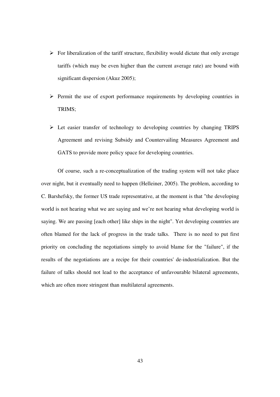- $\triangleright$  For liberalization of the tariff structure, flexibility would dictate that only average tariffs (which may be even higher than the current average rate) are bound with significant dispersion (Akuz 2005);
- $\triangleright$  Permit the use of export performance requirements by developing countries in TRIMS;
- $\triangleright$  Let easier transfer of technology to developing countries by changing TRIPS Agreement and revising Subsidy and Countervailing Measures Agreement and GATS to provide more policy space for developing countries.

 Of course, such a re-conceptualization of the trading system will not take place over night, but it eventually need to happen (Helleiner, 2005). The problem, according to C. Barshefsky, the former US trade representative, at the moment is that "the developing world is not hearing what we are saying and we're not hearing what developing world is saying. We are passing [each other] like ships in the night". Yet developing countries are often blamed for the lack of progress in the trade talks. There is no need to put first priority on concluding the negotiations simply to avoid blame for the "failure", if the results of the negotiations are a recipe for their countries' de-industrialization. But the failure of talks should not lead to the acceptance of unfavourable bilateral agreements, which are often more stringent than multilateral agreements.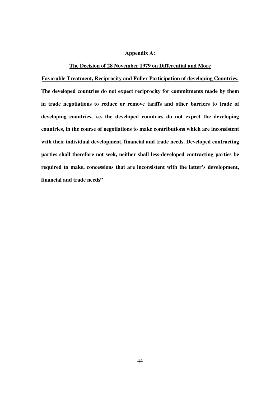## **Appendix A:**

## **The Decision of 28 November 1979 on Differential and More**

**Favorable Treatment, Reciprocity and Fuller Participation of developing Countries.**

**The developed countries do not expect reciprocity for commitments made by them in trade negotiations to reduce or remove tariffs and other barriers to trade of developing countries, i.e. the developed countries do not expect the developing countries, in the course of negotiations to make contributions which are inconsistent with their individual development, financial and trade needs. Developed contracting parties shall therefore not seek, neither shall less-developed contracting parties be required to make, concessions that are inconsistent with the latter's development, financial and trade needs"**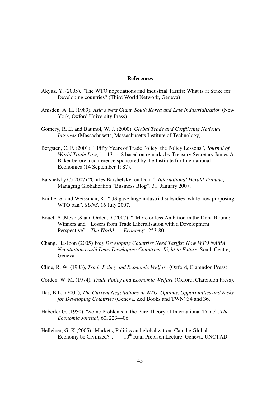## **References**

- Akyuz, Y. (2005), "The WTO negotiations and Industrial Tariffs: What is at Stake for Developing countries? (Third World Network, Geneva)
- Amsden, A. H. (1989), *Asia's Next Giant, South Korea and Late Industrialization* (New York, Oxford University Press).
- Gomery, R. E. and Baumol, W. J. (2000), *Global Trade and Conflicting National Interests* (Massachusetts, Massachusetts Institute of Technology).
- Bergsten, C. F. (2001), " Fifty Years of Trade Policy: the Policy Lessons", *Journal of World Trade Law*, 1- 13: p. 8 based on remarks by Treasury Secretary James A. Baker before a conference sponsored by the Institute fro International Economics (14 September 1987).
- Barshefsky C.(2007) "Chrles Barshefsky, on Doha", *International Herald Tribune*, Managing Globalization "Business Blog", 31, January 2007.
- Boillier S. and Weissman, R , "US gave huge industrial subsidies ,while now proposing WTO ban", *SUNS*, 16 July 2007.
- Bouet, A.,Mevel,S.and Orden,D.(2007), ""More or less Ambition in the Doha Round: Winners and Losers from Trade Liberalisation with a Development Perspective", *The World Economy*:1253-80.
- Chang, Ha-Joon (2005) *Why Developing Countries Need Tariffs; How WTO NAMA Negotiation could Deny Developing Countries' Right to Future*, South Centre, Geneva.
- Cline, R. W. (1983), *Trade Policy and Economic Welfare* (Oxford, Clarendon Press).
- Corden, W. M. (1974), *Trade Policy and Economic Welfare* (Oxford, Clarendon Press).
- Das, B.L. (2005), *The Current Negotiations in WTO, Options, Opportunities and Risks for Developing Countries* (Geneva, Zed Books and TWN):34 and 36.
- Haberler G. (1950), "Some Problems in the Pure Theory of International Trade", *The Economic Journal*, 60, 223–406.
- Helleiner, G. K.(2005) "Markets, Politics and globalization: Can the Global Economy be Civilized?",  $10^{th}$  Raul Prebisch Lecture, Geneva, UNCTAD.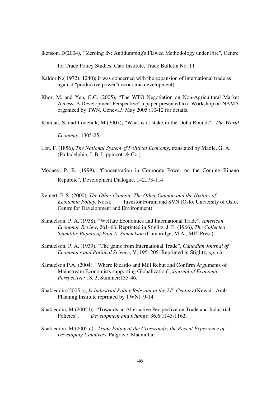Ikenson, D(2004), " Zeroing IN: Antidumping's Flawed Methodology under Fire", Centre

for Trade Policy Studies, Cato Institute, Trade Bulletin No. 11

- Kaldor,N.( 1972): 1240); it was concerned with the expansion of international trade as against "productive power"( economic development).
- Khor, M. and Yen, G.C. (2005), "The WTO Negotiation on Non-Agricultural Market Access: A Development Perspective" a paper presented to a Workshop on NAMA organized by TWN, Geneva,9 May 2005 **:**10-12 for details.
- Kinman, S. and Lodefalk, M.(2007), "What is at stake in the Doha Round?", *The World*

 *Economy*, 1305-25.

- List, F. (1856), *The National System of Political Economy*, translated by Matile, G. A. (Philadelphia, J. B. Lippincott & Co.).
- Mooney, P. R. (1999), "Concentration in Corporate Power on the Coming Binano Republic", Development Dialogue, 1–2.,73-114
- Reinert, F. S. (2000), *The Other Cannon: The Other Cannon and the History of Economic Policy*, Norsk Investor Forum and SVN (Oslo, University of Oslo, Centre for Development and Environment).
- Samuelson, P. A. (1938), "Welfare Economies and International Trade", *American Economic Review*, 261–66. Reprinted in Stiglitz, J. E. (1966), *The Collected Scientific Papers of Paul A. Samuelson* (Cambridge, M.A., MIT Press).
- Samuelson, P. A. (1939), "The gains from International Trade", *Canadian Journal of Economies and Political Science*, V, 195–205. Reprinted in Stiglitz, *op. cit*.
- Samuelson P.A. (2004), "Where Ricardo and Mill Rebut and Confirm Arguments of Mainstream Economists supporting Globalization", *Journal of Economic Perspective;* 18, 3, Summer:135-46.
- Shafaeddin (2005.a), *Is Industrial Policy Relevant in the 21st Century* (Kuwait, Arab Planning Institute reprinted by TWN): 9-14.
- Shafaeddin, M (2005.b). "Towards an Alternative Perspective on Trade and Industrial Policies", *Development and Change,* 36.6:1143-1162.
- Shafaeddin, M.(2005.c), *Trade Policy at the Crossroads; the Recent Experience of Developing Countries*, Palgrave, Macmillan.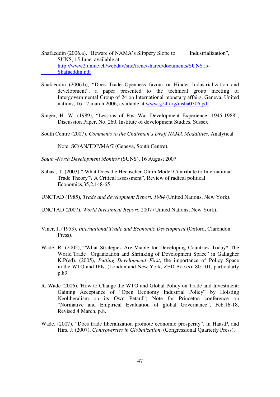Shafaeddin (2006.a), "Beware of NAMA's Slippery Slope to Industrialization", SUNS, 15 June available at http://www2.unine.ch/webdav/site/irene/shared/documents/SUNS15- Shafaeddin.pdf

- Shafaeddin (2006.b), "Does Trade Openness favour or Hinder Industrialization and development", a paper presented to the technical group meeting of Intergovernmental Group of 24 on International monetary affairs, Geneva, United nations, 16-17 march 2006, available at www.g24.org/msha0306.pdf
- Singer, H. W. (1989), "Lessons of Post-War Development Experience: 1945-1988", Discussion Paper, No. 260, Institute of development Studies, Sussex.
- South Centre (2007), *Comments to the Chairman's Draft NAMA Modalities*, Analytical

Note, SC/AN/TDP/MA/7 (Geneva, South Centre).

- *South -North Development Monitor* (SUNS), 16 August 2007.
- Subast, T. (2003) " What Does the Hechscher-Ohlin Model Contribute to International Trade Theory"? A Critical assessment", Review of radical political Economics,35,2,148-65

UNCTAD (1985), *Trade and development Report, 1984* (United Nations, New York).

UNCTAD (2007), *World Investment Report*, 2007 (United Nations, New York).

- Viner, J. (1953), *International Trade and Economic Development* (Oxford, Clarendon Press).
- Wade, R. (2005), "What Strategies Are Viable for Developing Countries Today? The World Trade Organization and Shrinking of Development Space" in Gallagher K.P(ed). (2005), *Putting Development First*, the importance of Policy Space in the WTO and IFIs, (London and New York, ZED Books): 80-101, particularly p.89.
- R. Wade (2006),"How to Change the WTO and Global Policy on Trade and Investment: Gaining Acceptance of "Open Economy Industrial Policy" by Hoisting Neoliberalism on its Own Petard"; Note for Princeton conference on "Normative and Empirical Evaluation of global Governance", Feb.16-18, Revised 4 March, p.8.
- Wade, (2007), "Does trade liberalization promote economic prosperity", in Haas,P. and Hirs, J. (2007), *Controversies in Globalization*, (Congressional Quarterly Press).